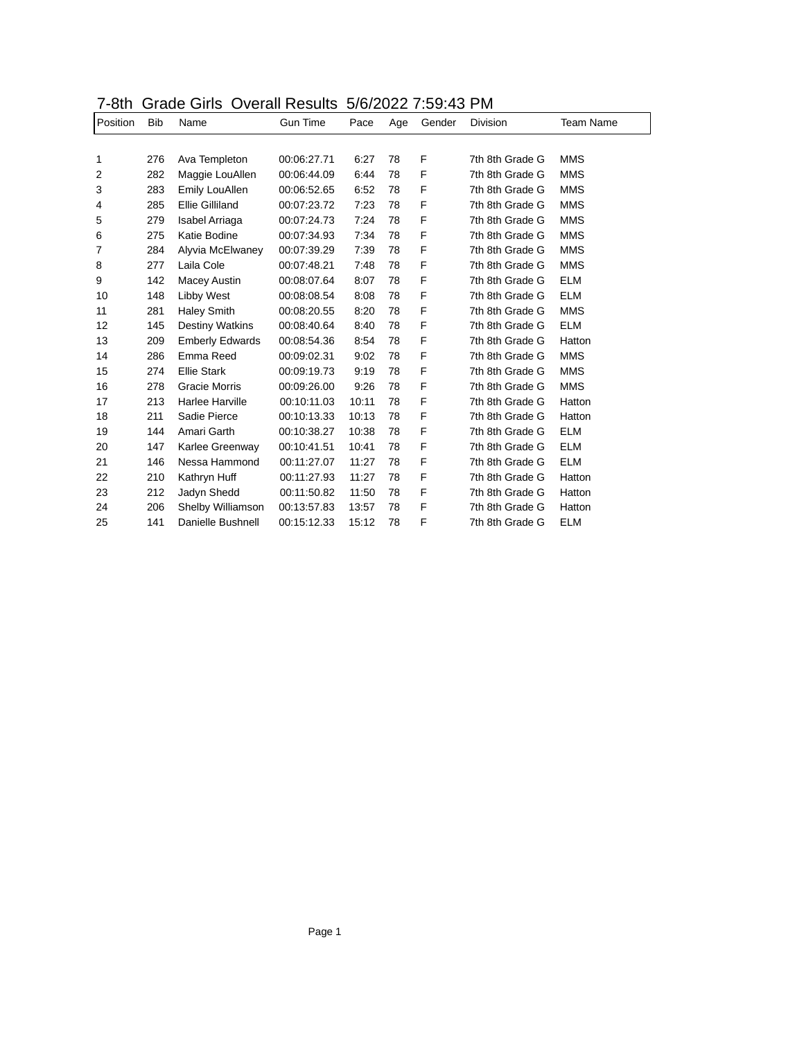| 7-8th Grade Girls Overall Results 5/6/2022 7:59:43 PM |  |
|-------------------------------------------------------|--|
|-------------------------------------------------------|--|

| Position | <b>Bib</b> | Name                   | <b>Gun Time</b> | Pace  | Age | Gender | <b>Division</b> | Team Name  |
|----------|------------|------------------------|-----------------|-------|-----|--------|-----------------|------------|
|          |            |                        |                 |       |     |        |                 |            |
| 1        | 276        | Ava Templeton          | 00:06:27.71     | 6:27  | 78  | F      | 7th 8th Grade G | <b>MMS</b> |
| 2        | 282        | Maggie LouAllen        | 00:06:44.09     | 6:44  | 78  | F      | 7th 8th Grade G | <b>MMS</b> |
| 3        | 283        | Emily LouAllen         | 00:06:52.65     | 6:52  | 78  | F      | 7th 8th Grade G | <b>MMS</b> |
| 4        | 285        | <b>Ellie Gilliland</b> | 00:07:23.72     | 7:23  | 78  | F      | 7th 8th Grade G | <b>MMS</b> |
| 5        | 279        | Isabel Arriaga         | 00:07:24.73     | 7:24  | 78  | F      | 7th 8th Grade G | <b>MMS</b> |
| 6        | 275        | Katie Bodine           | 00:07:34.93     | 7:34  | 78  | F      | 7th 8th Grade G | <b>MMS</b> |
| 7        | 284        | Alyvia McElwaney       | 00:07:39.29     | 7:39  | 78  | F      | 7th 8th Grade G | <b>MMS</b> |
| 8        | 277        | Laila Cole             | 00:07:48.21     | 7:48  | 78  | F      | 7th 8th Grade G | <b>MMS</b> |
| 9        | 142        | Macey Austin           | 00:08:07.64     | 8:07  | 78  | F      | 7th 8th Grade G | <b>ELM</b> |
| 10       | 148        | Libby West             | 00:08:08.54     | 8:08  | 78  | F      | 7th 8th Grade G | <b>ELM</b> |
| 11       | 281        | <b>Haley Smith</b>     | 00:08:20.55     | 8:20  | 78  | F      | 7th 8th Grade G | <b>MMS</b> |
| 12       | 145        | <b>Destiny Watkins</b> | 00:08:40.64     | 8:40  | 78  | F      | 7th 8th Grade G | <b>ELM</b> |
| 13       | 209        | <b>Emberly Edwards</b> | 00:08:54.36     | 8:54  | 78  | F      | 7th 8th Grade G | Hatton     |
| 14       | 286        | Emma Reed              | 00:09:02.31     | 9:02  | 78  | F      | 7th 8th Grade G | <b>MMS</b> |
| 15       | 274        | <b>Ellie Stark</b>     | 00:09:19.73     | 9:19  | 78  | F      | 7th 8th Grade G | <b>MMS</b> |
| 16       | 278        | <b>Gracie Morris</b>   | 00:09:26.00     | 9:26  | 78  | F      | 7th 8th Grade G | <b>MMS</b> |
| 17       | 213        | Harlee Harville        | 00:10:11.03     | 10:11 | 78  | F      | 7th 8th Grade G | Hatton     |
| 18       | 211        | Sadie Pierce           | 00:10:13.33     | 10:13 | 78  | F      | 7th 8th Grade G | Hatton     |
| 19       | 144        | Amari Garth            | 00:10:38.27     | 10:38 | 78  | F      | 7th 8th Grade G | <b>ELM</b> |
| 20       | 147        | Karlee Greenway        | 00:10:41.51     | 10:41 | 78  | F      | 7th 8th Grade G | <b>ELM</b> |
| 21       | 146        | Nessa Hammond          | 00:11:27.07     | 11:27 | 78  | F      | 7th 8th Grade G | <b>ELM</b> |
| 22       | 210        | Kathryn Huff           | 00:11:27.93     | 11:27 | 78  | F      | 7th 8th Grade G | Hatton     |
| 23       | 212        | Jadyn Shedd            | 00:11:50.82     | 11:50 | 78  | F      | 7th 8th Grade G | Hatton     |
| 24       | 206        | Shelby Williamson      | 00:13:57.83     | 13:57 | 78  | F      | 7th 8th Grade G | Hatton     |
| 25       | 141        | Danielle Bushnell      | 00:15:12.33     | 15:12 | 78  | F      | 7th 8th Grade G | <b>ELM</b> |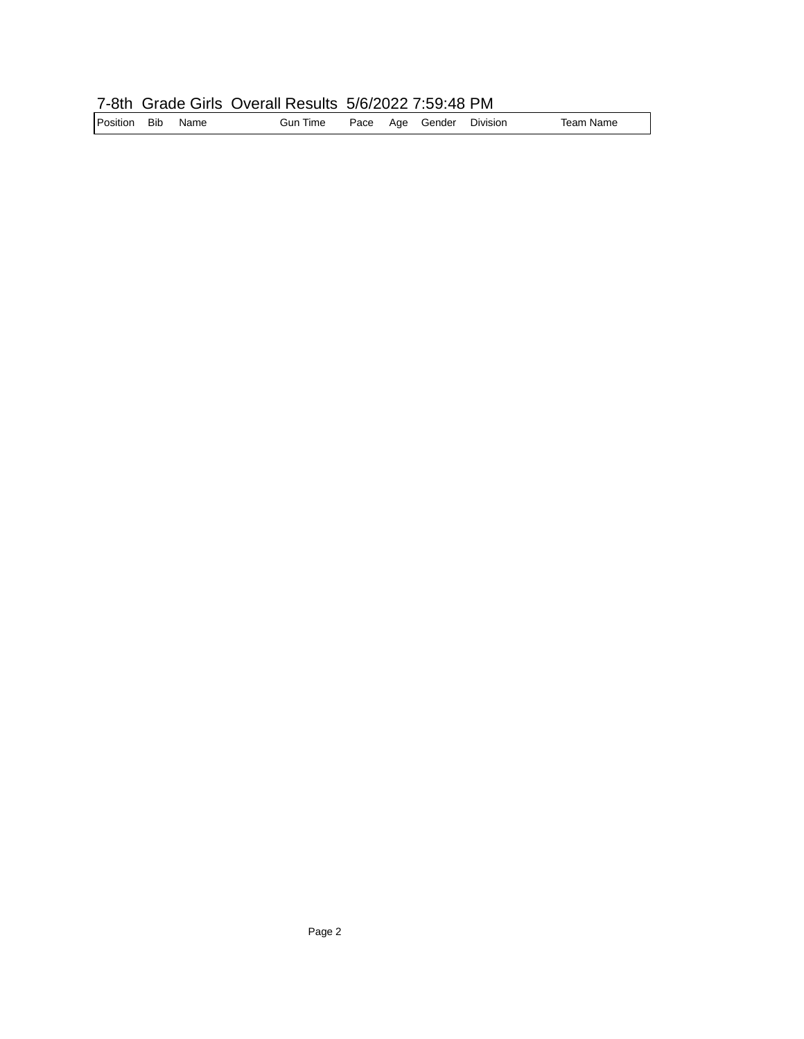## 7-8th Grade Girls Overall Results 5/6/2022 7:59:48 PM

| Position Bib |  | Name | Gun Time |  |  | Pace Age Gender | Division | Team Name |
|--------------|--|------|----------|--|--|-----------------|----------|-----------|
|--------------|--|------|----------|--|--|-----------------|----------|-----------|